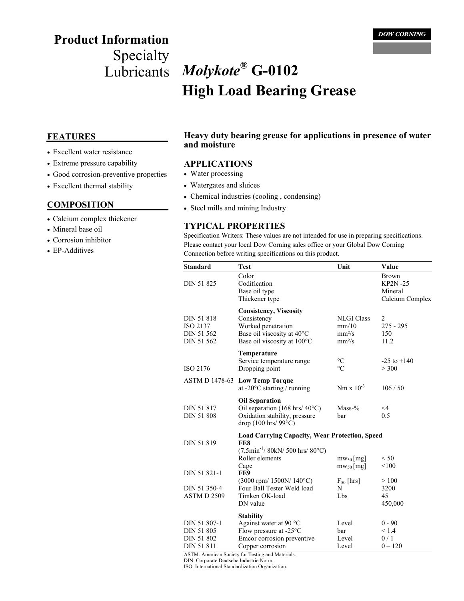# **Product Information**

## Specialty Lubricants *Molykote***® G-0102 High Load Bearing Grease**

- Excellent water resistance
- Extreme pressure capability
- Good corrosion-preventive properties
- Excellent thermal stability

#### **COMPOSITION**

- Calcium complex thickener
- Mineral base oil
- Corrosion inhibitor
- EP-Additives

#### **FEATURES Heavy duty bearing grease for applications in presence of water and moisture**

#### **APPLICATIONS**

- Water processing
- Watergates and sluices
- Chemical industries (cooling , condensing)
- Steel mills and mining Industry

#### **TYPICAL PROPERTIES**

Specification Writers: These values are not intended for use in preparing specifications. Please contact your local Dow Corning sales office or your Global Dow Corning Connection before writing specifications on this product.

| <b>Standard</b>                                               | <b>Test</b>                                                                                                                                       | Unit                                                         | Value                                                        |
|---------------------------------------------------------------|---------------------------------------------------------------------------------------------------------------------------------------------------|--------------------------------------------------------------|--------------------------------------------------------------|
| <b>DIN 51 825</b>                                             | Color<br>Codification<br>Base oil type<br>Thickener type                                                                                          |                                                              | <b>Brown</b><br><b>KP2N-25</b><br>Mineral<br>Calcium Complex |
| <b>DIN 51 818</b><br>ISO 2137<br>DIN 51 562<br>DIN 51 562     | <b>Consistency, Viscosity</b><br>Consistency<br>Worked penetration<br>Base oil viscosity at 40°C<br>Base oil viscosity at 100°C                   | <b>NLGI Class</b><br>mm/10<br>$mm^2/s$<br>mm <sup>2</sup> /s | $\overline{2}$<br>$275 - 295$<br>150<br>11.2                 |
| ISO 2176                                                      | Temperature<br>Service temperature range<br>Dropping point                                                                                        | $\rm ^{\circ}C$<br>$\circ$ C                                 | $-25$ to $+140$<br>> 300                                     |
|                                                               | ASTM D 1478-63 Low Temp Torque<br>at -20 $\mathrm{^{\circ}C}$ starting / running                                                                  | $Nm \times 10^{-3}$                                          | 106/50                                                       |
| <b>DIN 51 817</b><br><b>DIN 51 808</b>                        | <b>Oil Separation</b><br>Oil separation (168 hrs/ $40^{\circ}$ C)<br>Oxidation stability, pressure<br>drop $(100 \text{ hrs}/99^{\circ}\text{C})$ | $Mass-%$<br>bar                                              | $\leq$ 4<br>0.5                                              |
| <b>DIN 51 819</b>                                             | <b>Load Carrying Capacity, Wear Protection, Speed</b><br>FE8<br>$(7,5min^{-1}/ 80kN/ 500$ hrs/ $80^{\circ}$ C)<br>Roller elements                 | $mw_{50}$ [mg]                                               | < 50                                                         |
| DIN 51 821-1                                                  | Cage<br>FE9<br>$(3000$ rpm/ $1500N/140$ °C)                                                                                                       | $mw_{50}$ [mg]<br>$F_{50}$ [hrs]                             | < 100<br>>100                                                |
| DIN 51 350-4<br>ASTM D 2509                                   | Four Ball Tester Weld load<br>Timken OK-load<br>DN value                                                                                          | N<br>Lbs                                                     | 3200<br>45<br>450,000                                        |
| DIN 51 807-1<br><b>DIN 51 805</b><br>DIN 51 802<br>DIN 51 811 | <b>Stability</b><br>Against water at 90 $^{\circ}$ C<br>Flow pressure at -25°C<br>Emcor corrosion preventive<br>Copper corrosion                  | Level<br>bar<br>Level<br>Level                               | $0 - 90$<br>< 1.4<br>0/1<br>$0 - 120$                        |

ASTM: American Society for Testing and Materials.

DIN: Corporate Deutsche Industrie Norm.

ISO: International Standardization Organization.